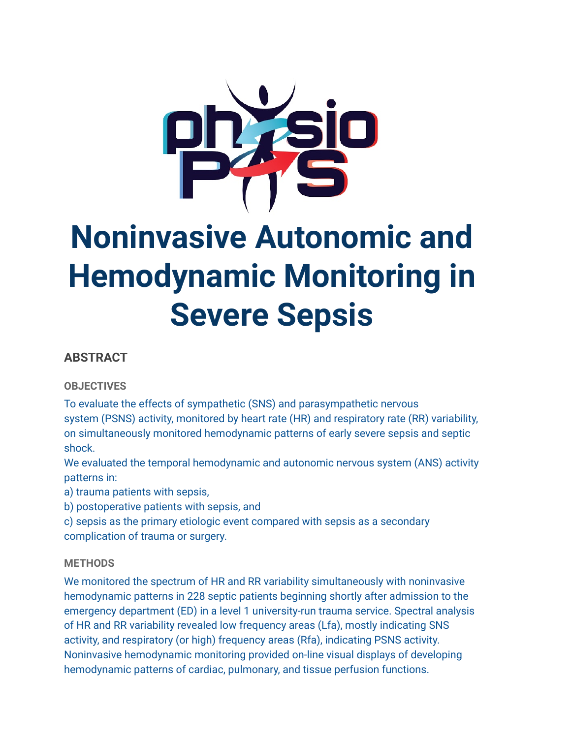

# **Noninvasive Autonomic and Hemodynamic Monitoring in Severe Sepsis**

# **ABSTRACT**

## **OBJECTIVES**

To evaluate the effects of sympathetic (SNS) and parasympathetic nervous system (PSNS) activity, monitored by heart rate (HR) and respiratory rate (RR) variability, on simultaneously monitored hemodynamic patterns of early severe sepsis and septic shock.

We evaluated the temporal hemodynamic and autonomic nervous system (ANS) activity patterns in:

a) trauma patients with sepsis,

b) postoperative patients with sepsis, and

c) sepsis as the primary etiologic event compared with sepsis as a secondary complication of trauma or surgery.

## **METHODS**

We monitored the spectrum of HR and RR variability simultaneously with noninvasive hemodynamic patterns in 228 septic patients beginning shortly after admission to the emergency department (ED) in a level 1 university-run trauma service. Spectral analysis of HR and RR variability revealed low frequency areas (Lfa), mostly indicating SNS activity, and respiratory (or high) frequency areas (Rfa), indicating PSNS activity. Noninvasive hemodynamic monitoring provided on-line visual displays of developing hemodynamic patterns of cardiac, pulmonary, and tissue perfusion functions.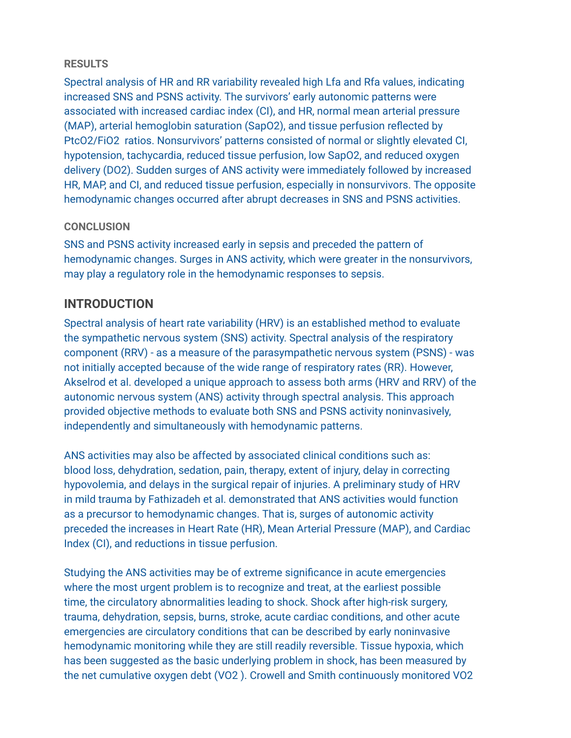## **RESULTS**

Spectral analysis of HR and RR variability revealed high Lfa and Rfa values, indicating increased SNS and PSNS activity. The survivors' early autonomic patterns were associated with increased cardiac index (CI), and HR, normal mean arterial pressure (MAP), arterial hemoglobin saturation (SapO2), and tissue perfusion reflected by PtcO2/FiO2 ratios. Nonsurvivors' patterns consisted of normal or slightly elevated CI, hypotension, tachycardia, reduced tissue perfusion, low SapO2, and reduced oxygen delivery (DO2). Sudden surges of ANS activity were immediately followed by increased HR, MAP, and CI, and reduced tissue perfusion, especially in nonsurvivors. The opposite hemodynamic changes occurred after abrupt decreases in SNS and PSNS activities.

## **CONCLUSION**

SNS and PSNS activity increased early in sepsis and preceded the pattern of hemodynamic changes. Surges in ANS activity, which were greater in the nonsurvivors, may play a regulatory role in the hemodynamic responses to sepsis.

# **INTRODUCTION**

Spectral analysis of heart rate variability (HRV) is an established method to evaluate the sympathetic nervous system (SNS) activity. Spectral analysis of the respiratory component (RRV) - as a measure of the parasympathetic nervous system (PSNS) - was not initially accepted because of the wide range of respiratory rates (RR). However, Akselrod et al. developed a unique approach to assess both arms (HRV and RRV) of the autonomic nervous system (ANS) activity through spectral analysis. This approach provided objective methods to evaluate both SNS and PSNS activity noninvasively, independently and simultaneously with hemodynamic patterns.

ANS activities may also be affected by associated clinical conditions such as: blood loss, dehydration, sedation, pain, therapy, extent of injury, delay in correcting hypovolemia, and delays in the surgical repair of injuries. A preliminary study of HRV in mild trauma by Fathizadeh et al. demonstrated that ANS activities would function as a precursor to hemodynamic changes. That is, surges of autonomic activity preceded the increases in Heart Rate (HR), Mean Arterial Pressure (MAP), and Cardiac Index (CI), and reductions in tissue perfusion.

Studying the ANS activities may be of extreme significance in acute emergencies where the most urgent problem is to recognize and treat, at the earliest possible time, the circulatory abnormalities leading to shock. Shock after high-risk surgery, trauma, dehydration, sepsis, burns, stroke, acute cardiac conditions, and other acute emergencies are circulatory conditions that can be described by early noninvasive hemodynamic monitoring while they are still readily reversible. Tissue hypoxia, which has been suggested as the basic underlying problem in shock, has been measured by the net cumulative oxygen debt (VO2 ). Crowell and Smith continuously monitored VO2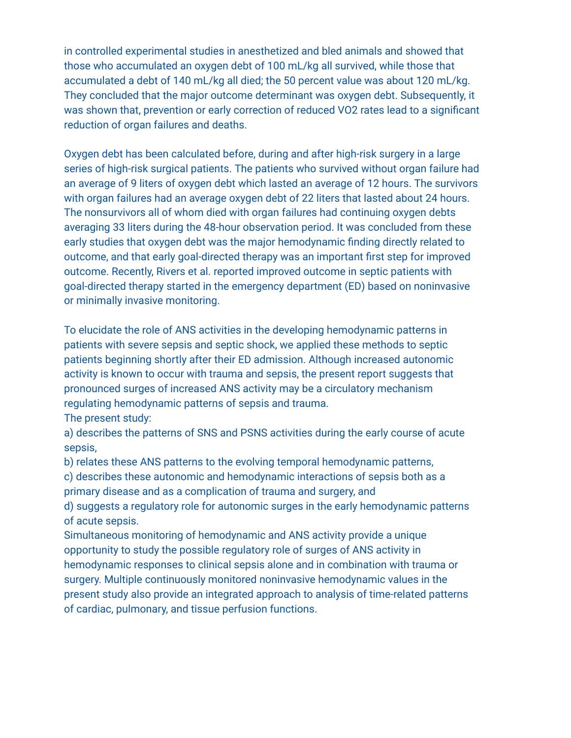in controlled experimental studies in anesthetized and bled animals and showed that those who accumulated an oxygen debt of 100 mL/kg all survived, while those that accumulated a debt of 140 mL/kg all died; the 50 percent value was about 120 mL/kg. They concluded that the major outcome determinant was oxygen debt. Subsequently, it was shown that, prevention or early correction of reduced VO2 rates lead to a significant reduction of organ failures and deaths.

Oxygen debt has been calculated before, during and after high-risk surgery in a large series of high-risk surgical patients. The patients who survived without organ failure had an average of 9 liters of oxygen debt which lasted an average of 12 hours. The survivors with organ failures had an average oxygen debt of 22 liters that lasted about 24 hours. The nonsurvivors all of whom died with organ failures had continuing oxygen debts averaging 33 liters during the 48-hour observation period. It was concluded from these early studies that oxygen debt was the major hemodynamic finding directly related to outcome, and that early goal-directed therapy was an important first step for improved outcome. Recently, Rivers et al. reported improved outcome in septic patients with goal-directed therapy started in the emergency department (ED) based on noninvasive or minimally invasive monitoring.

To elucidate the role of ANS activities in the developing hemodynamic patterns in patients with severe sepsis and septic shock, we applied these methods to septic patients beginning shortly after their ED admission. Although increased autonomic activity is known to occur with trauma and sepsis, the present report suggests that pronounced surges of increased ANS activity may be a circulatory mechanism regulating hemodynamic patterns of sepsis and trauma.

The present study:

a) describes the patterns of SNS and PSNS activities during the early course of acute sepsis,

b) relates these ANS patterns to the evolving temporal hemodynamic patterns,

c) describes these autonomic and hemodynamic interactions of sepsis both as a primary disease and as a complication of trauma and surgery, and

d) suggests a regulatory role for autonomic surges in the early hemodynamic patterns of acute sepsis.

Simultaneous monitoring of hemodynamic and ANS activity provide a unique opportunity to study the possible regulatory role of surges of ANS activity in hemodynamic responses to clinical sepsis alone and in combination with trauma or surgery. Multiple continuously monitored noninvasive hemodynamic values in the present study also provide an integrated approach to analysis of time-related patterns of cardiac, pulmonary, and tissue perfusion functions.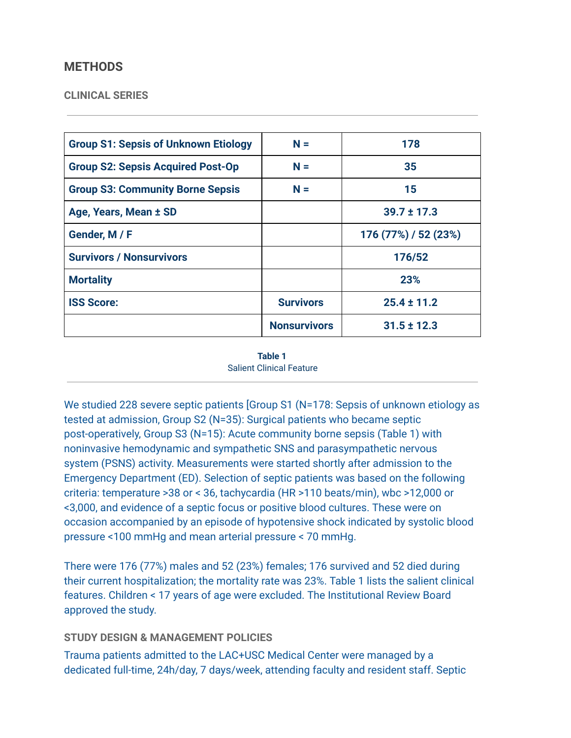## **METHODS**

#### **CLINICAL SERIES**

| <b>Group S1: Sepsis of Unknown Etiology</b> | $N =$               | 178                  |
|---------------------------------------------|---------------------|----------------------|
| <b>Group S2: Sepsis Acquired Post-Op</b>    | $N =$               | 35                   |
| <b>Group S3: Community Borne Sepsis</b>     | $N =$               | 15                   |
| Age, Years, Mean ± SD                       |                     | $39.7 \pm 17.3$      |
| Gender, M / F                               |                     | 176 (77%) / 52 (23%) |
| <b>Survivors / Nonsurvivors</b>             |                     | 176/52               |
| <b>Mortality</b>                            |                     | 23%                  |
| <b>ISS Score:</b>                           | <b>Survivors</b>    | $25.4 \pm 11.2$      |
|                                             | <b>Nonsurvivors</b> | $31.5 \pm 12.3$      |

**Table 1**  Salient Clinical Feature

We studied 228 severe septic patients [Group S1 (N=178: Sepsis of unknown etiology as tested at admission, Group S2 (N=35): Surgical patients who became septic post-operatively, Group S3 (N=15): Acute community borne sepsis (Table 1) with noninvasive hemodynamic and sympathetic SNS and parasympathetic nervous system (PSNS) activity. Measurements were started shortly after admission to the Emergency Department (ED). Selection of septic patients was based on the following criteria: temperature >38 or < 36, tachycardia (HR >110 beats/min), wbc >12,000 or <3,000, and evidence of a septic focus or positive blood cultures. These were on occasion accompanied by an episode of hypotensive shock indicated by systolic blood pressure <100 mmHg and mean arterial pressure < 70 mmHg.

There were 176 (77%) males and 52 (23%) females; 176 survived and 52 died during their current hospitalization; the mortality rate was 23%. Table 1 lists the salient clinical features. Children < 17 years of age were excluded. The Institutional Review Board approved the study.

#### **STUDY DESIGN & MANAGEMENT POLICIES**

Trauma patients admitted to the LAC+USC Medical Center were managed by a dedicated full-time, 24h/day, 7 days/week, attending faculty and resident staff. Septic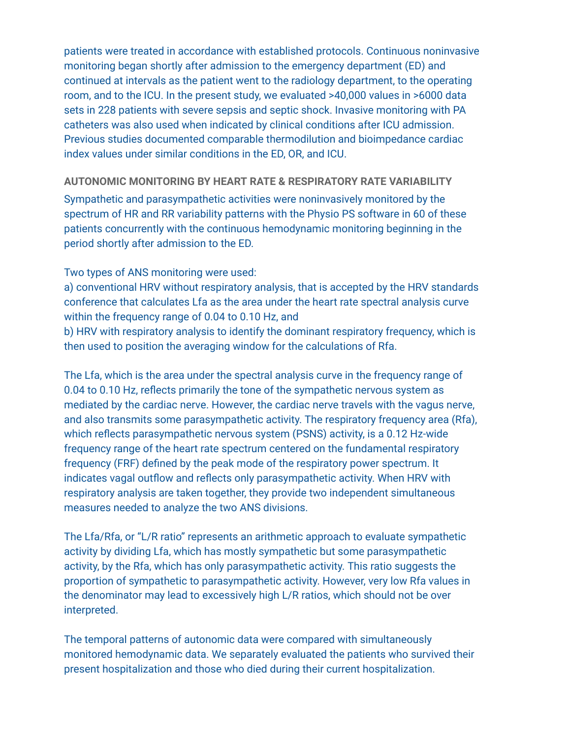patients were treated in accordance with established protocols. Continuous noninvasive monitoring began shortly after admission to the emergency department (ED) and continued at intervals as the patient went to the radiology department, to the operating room, and to the ICU. In the present study, we evaluated >40,000 values in >6000 data sets in 228 patients with severe sepsis and septic shock. Invasive monitoring with PA catheters was also used when indicated by clinical conditions after ICU admission. Previous studies documented comparable thermodilution and bioimpedance cardiac index values under similar conditions in the ED, OR, and ICU.

#### **AUTONOMIC MONITORING BY HEART RATE & RESPIRATORY RATE VARIABILITY**

Sympathetic and parasympathetic activities were noninvasively monitored by the spectrum of HR and RR variability patterns with the Physio PS software in 60 of these patients concurrently with the continuous hemodynamic monitoring beginning in the period shortly after admission to the ED.

#### Two types of ANS monitoring were used:

a) conventional HRV without respiratory analysis, that is accepted by the HRV standards conference that calculates Lfa as the area under the heart rate spectral analysis curve within the frequency range of 0.04 to 0.10 Hz, and

b) HRV with respiratory analysis to identify the dominant respiratory frequency, which is then used to position the averaging window for the calculations of Rfa.

The Lfa, which is the area under the spectral analysis curve in the frequency range of 0.04 to 0.10 Hz, reflects primarily the tone of the sympathetic nervous system as mediated by the cardiac nerve. However, the cardiac nerve travels with the vagus nerve, and also transmits some parasympathetic activity. The respiratory frequency area (Rfa), which reflects parasympathetic nervous system (PSNS) activity, is a 0.12 Hz-wide frequency range of the heart rate spectrum centered on the fundamental respiratory frequency (FRF) defined by the peak mode of the respiratory power spectrum. It indicates vagal outflow and reflects only parasympathetic activity. When HRV with respiratory analysis are taken together, they provide two independent simultaneous measures needed to analyze the two ANS divisions.

The Lfa/Rfa, or "L/R ratio" represents an arithmetic approach to evaluate sympathetic activity by dividing Lfa, which has mostly sympathetic but some parasympathetic activity, by the Rfa, which has only parasympathetic activity. This ratio suggests the proportion of sympathetic to parasympathetic activity. However, very low Rfa values in the denominator may lead to excessively high L/R ratios, which should not be over interpreted.

The temporal patterns of autonomic data were compared with simultaneously monitored hemodynamic data. We separately evaluated the patients who survived their present hospitalization and those who died during their current hospitalization.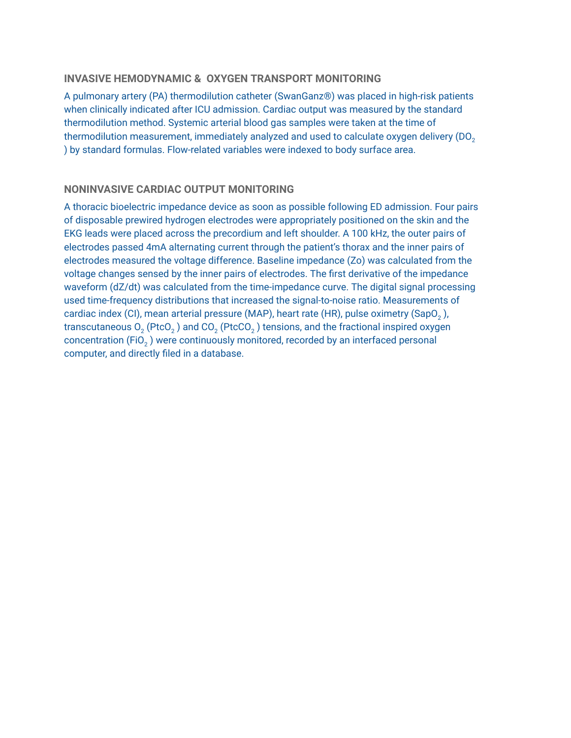#### **INVASIVE HEMODYNAMIC & OXYGEN TRANSPORT MONITORING**

A pulmonary artery (PA) thermodilution catheter (SwanGanz®) was placed in high-risk patients when clinically indicated after ICU admission. Cardiac output was measured by the standard thermodilution method. Systemic arterial blood gas samples were taken at the time of thermodilution measurement, immediately analyzed and used to calculate oxygen delivery (DO<sub>2</sub>) ) by standard formulas. Flow-related variables were indexed to body surface area.

#### **NONINVASIVE CARDIAC OUTPUT MONITORING**

A thoracic bioelectric impedance device as soon as possible following ED admission. Four pairs of disposable prewired hydrogen electrodes were appropriately positioned on the skin and the EKG leads were placed across the precordium and left shoulder. A 100 kHz, the outer pairs of electrodes passed 4mA alternating current through the patient's thorax and the inner pairs of electrodes measured the voltage difference. Baseline impedance (Zo) was calculated from the voltage changes sensed by the inner pairs of electrodes. The first derivative of the impedance waveform (dZ/dt) was calculated from the time-impedance curve. The digital signal processing used time-frequency distributions that increased the signal-to-noise ratio. Measurements of cardiac index (CI), mean arterial pressure (MAP), heart rate (HR), pulse oximetry (SapO<sub>2</sub>), transcutaneous  $O_2$  (PtcO<sub>2</sub>) and CO<sub>2</sub> (PtcCO<sub>2</sub>) tensions, and the fractional inspired oxygen concentration (FiO<sub>2</sub>) were continuously monitored, recorded by an interfaced personal computer, and directly filed in a database.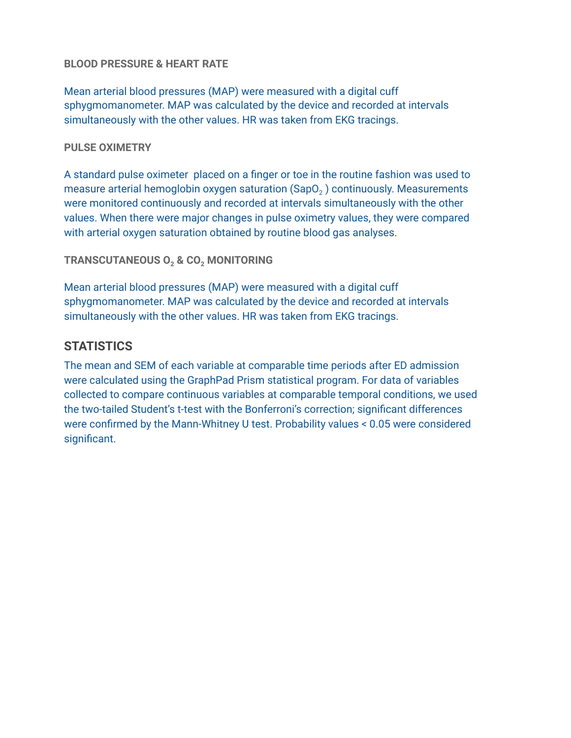## **BLOOD PRESSURE & HEART RATE**

Mean arterial blood pressures (MAP) were measured with a digital cuff sphygmomanometer. MAP was calculated by the device and recorded at intervals simultaneously with the other values. HR was taken from EKG tracings.

## **PULSE OXIMETRY**

A standard pulse oximeter placed on a finger or toe in the routine fashion was used to measure arterial hemoglobin oxygen saturation  $(SapO<sub>2</sub>)$  continuously. Measurements were monitored continuously and recorded at intervals simultaneously with the other values. When there were major changes in pulse oximetry values, they were compared with arterial oxygen saturation obtained by routine blood gas analyses.

**TRANSCUTANEOUS 0, & CO, MONITORING** 

Mean arterial blood pressures (MAP) were measured with a digital cuff sphygmomanometer. MAP was calculated by the device and recorded at intervals simultaneously with the other values. HR was taken from EKG tracings.

# **STATISTICS**

The mean and SEM of each variable at comparable time periods after ED admission were calculated using the GraphPad Prism statistical program. For data of variables collected to compare continuous variables at comparable temporal conditions, we used the two-tailed Student's t-test with the Bonferroni's correction; significant differences were confirmed by the Mann-Whitney U test. Probability values < 0.05 were considered significant.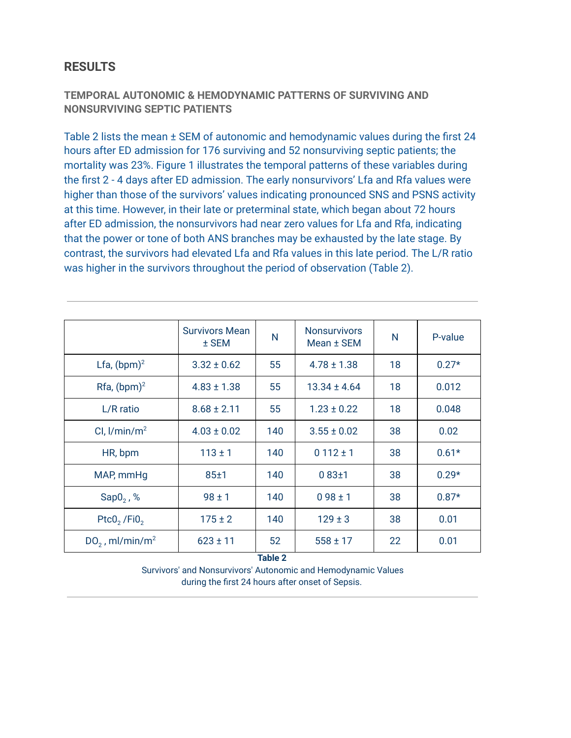# **RESULTS**

## **TEMPORAL AUTONOMIC & HEMODYNAMIC PATTERNS OF SURVIVING AND NONSURVIVING SEPTIC PATIENTS**

Table 2 lists the mean ± SEM of autonomic and hemodynamic values during the first 24 hours after ED admission for 176 surviving and 52 nonsurviving septic patients; the mortality was 23%. Figure 1 illustrates the temporal patterns of these variables during the first 2 - 4 days after ED admission. The early nonsurvivors' Lfa and Rfa values were higher than those of the survivors' values indicating pronounced SNS and PSNS activity at this time. However, in their late or preterminal state, which began about 72 hours after ED admission, the nonsurvivors had near zero values for Lfa and Rfa, indicating that the power or tone of both ANS branches may be exhausted by the late stage. By contrast, the survivors had elevated Lfa and Rfa values in this late period. The L/R ratio was higher in the survivors throughout the period of observation (Table 2).

|                               | <b>Survivors Mean</b><br>± SEM | N   | <b>Nonsurvivors</b><br>Mean ± SEM | N  | P-value |
|-------------------------------|--------------------------------|-----|-----------------------------------|----|---------|
| Lfa, $(bpm)^2$                | $3.32 \pm 0.62$                | 55  | $4.78 \pm 1.38$                   | 18 | $0.27*$ |
| Rfa, $(bpm)^2$                | $4.83 \pm 1.38$                | 55  | $13.34 \pm 4.64$                  | 18 | 0.012   |
| L/R ratio                     | $8.68 \pm 2.11$                | 55  | $1.23 \pm 0.22$                   | 18 | 0.048   |
| CI, $1/\text{min/m}^2$        | $4.03 \pm 0.02$                | 140 | $3.55 \pm 0.02$                   | 38 | 0.02    |
| HR, bpm                       | $113 \pm 1$                    | 140 | $0112 \pm 1$                      | 38 | $0.61*$ |
| MAP, mmHg                     | $85 + 1$                       | 140 | $0.83 \pm 1$                      | 38 | $0.29*$ |
| Sap0, %                       | $98 \pm 1$                     | 140 | $098 \pm 1$                       | 38 | $0.87*$ |
| Ptc0, $/Fi0$ ,                | $175 \pm 2$                    | 140 | $129 \pm 3$                       | 38 | 0.01    |
| $DO2$ , ml/min/m <sup>2</sup> | $623 \pm 11$                   | 52  | $558 \pm 17$                      | 22 | 0.01    |
| <b>Table 2</b>                |                                |     |                                   |    |         |

Survivors' and Nonsurvivors' Autonomic and Hemodynamic Values during the first 24 hours after onset of Sepsis.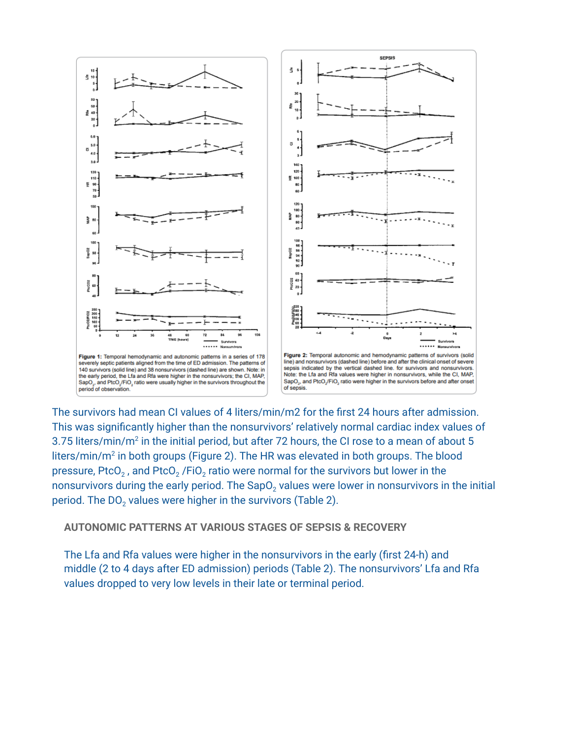

The survivors had mean CI values of 4 liters/min/m2 for the first 24 hours after admission. This was significantly higher than the nonsurvivors' relatively normal cardiac index values of 3.75 liters/min/m<sup>2</sup> in the initial period, but after 72 hours, the CI rose to a mean of about 5  $liters/min/m<sup>2</sup>$  in both groups (Figure 2). The HR was elevated in both groups. The blood pressure, PtcO<sub>2</sub>, and PtcO<sub>2</sub> /FiO<sub>2</sub> ratio were normal for the survivors but lower in the nonsurvivors during the early period. The SapO<sub>2</sub> values were lower in nonsurvivors in the initial period. The DO<sub>2</sub> values were higher in the survivors (Table 2).

**AUTONOMIC PATTERNS AT VARIOUS STAGES OF SEPSIS & RECOVERY** 

The Lfa and Rfa values were higher in the nonsurvivors in the early (first 24-h) and middle (2 to 4 days after ED admission) periods (Table 2). The nonsurvivors' Lfa and Rfa values dropped to very low levels in their late or terminal period.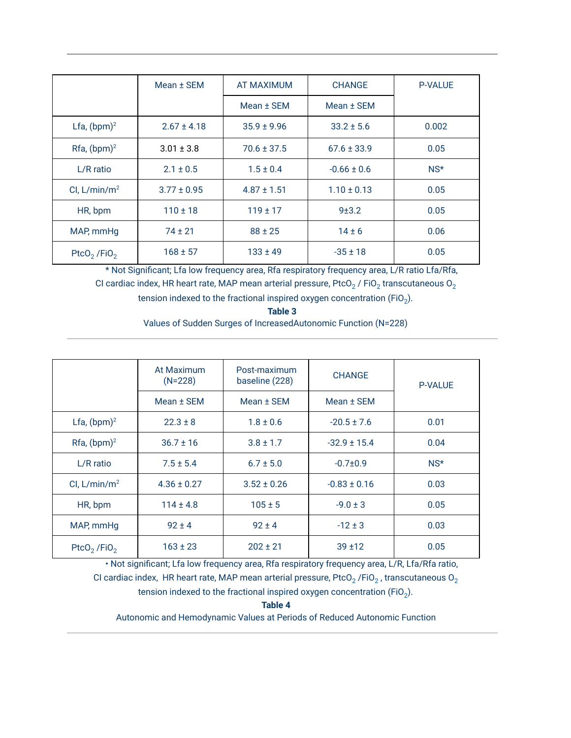|                                     | Mean ± SEM      | <b>AT MAXIMUM</b> | <b>CHANGE</b>   | <b>P-VALUE</b> |
|-------------------------------------|-----------------|-------------------|-----------------|----------------|
|                                     |                 | Mean ± SEM        | Mean ± SEM      |                |
| Lfa, $(bpm)^2$                      | $2.67 \pm 4.18$ | $35.9 \pm 9.96$   | $33.2 \pm 5.6$  | 0.002          |
| $Rfa$ , (bpm) <sup>2</sup>          | $3.01 \pm 3.8$  | $70.6 \pm 37.5$   | $67.6 \pm 33.9$ | 0.05           |
| $L/R$ ratio                         | $2.1 \pm 0.5$   | $1.5 \pm 0.4$     | $-0.66 \pm 0.6$ | $NS^*$         |
| CI, $L/min/m2$                      | $3.77 \pm 0.95$ | $4.87 \pm 1.51$   | $1.10 \pm 0.13$ | 0.05           |
| HR, bpm                             | $110 \pm 18$    | $119 \pm 17$      | 9±3.2           | 0.05           |
| MAP, mmHg                           | $74 \pm 21$     | $88 \pm 25$       | $14 \pm 6$      | 0.06           |
| PtcO <sub>2</sub> /FiO <sub>2</sub> | $168 \pm 57$    | $133 \pm 49$      | $-35 \pm 18$    | 0.05           |

\* Not Significant; Lfa low frequency area, Rfa respiratory frequency area, L/R ratio Lfa/Rfa, CI cardiac index, HR heart rate, MAP mean arterial pressure, PtcO<sub>2</sub> / FiO<sub>2</sub> transcutaneous O<sub>2</sub> tension indexed to the fractional inspired oxygen concentration (FiO<sub>2</sub>).

> **Table 3**  Values of Sudden Surges of IncreasedAutonomic Function (N=228)

|                                     | At Maximum<br>$(N=228)$ | Post-maximum<br>baseline (228) | <b>CHANGE</b>    | <b>P-VALUE</b> |
|-------------------------------------|-------------------------|--------------------------------|------------------|----------------|
|                                     | Mean ± SEM              | Mean ± SEM                     | Mean ± SEM       |                |
| Lfa, $(bpm)^2$                      | $22.3 \pm 8$            | $1.8 \pm 0.6$                  | $-20.5 \pm 7.6$  | 0.01           |
| $Rfa$ , (bpm) <sup>2</sup>          | $36.7 \pm 16$           | $3.8 \pm 1.7$                  | $-32.9 \pm 15.4$ | 0.04           |
| L/R ratio                           | $7.5 \pm 5.4$           | $6.7 \pm 5.0$                  | $-0.7 + 0.9$     | $NS^{\star}$   |
| CI, $L/min/m2$                      | $4.36 \pm 0.27$         | $3.52 \pm 0.26$                | $-0.83 \pm 0.16$ | 0.03           |
| HR, bpm                             | $114 \pm 4.8$           | $105 \pm 5$                    | $-9.0 \pm 3$     | 0.05           |
| MAP, mmHg                           | $92 \pm 4$              | $92 \pm 4$                     | $-12 \pm 3$      | 0.03           |
| PtcO <sub>2</sub> /FiO <sub>2</sub> | $163 \pm 23$            | $202 \pm 21$                   | $39 + 12$        | 0.05           |

• Not significant; Lfa low frequency area, Rfa respiratory frequency area, L/R, Lfa/Rfa ratio, CI cardiac index, HR heart rate, MAP mean arterial pressure, PtcO<sub>2</sub> /FiO<sub>2</sub>, transcutaneous O<sub>2</sub> tension indexed to the fractional inspired oxygen concentration (FiO<sub>2</sub>).

**Table 4** 

Autonomic and Hemodynamic Values at Periods of Reduced Autonomic Function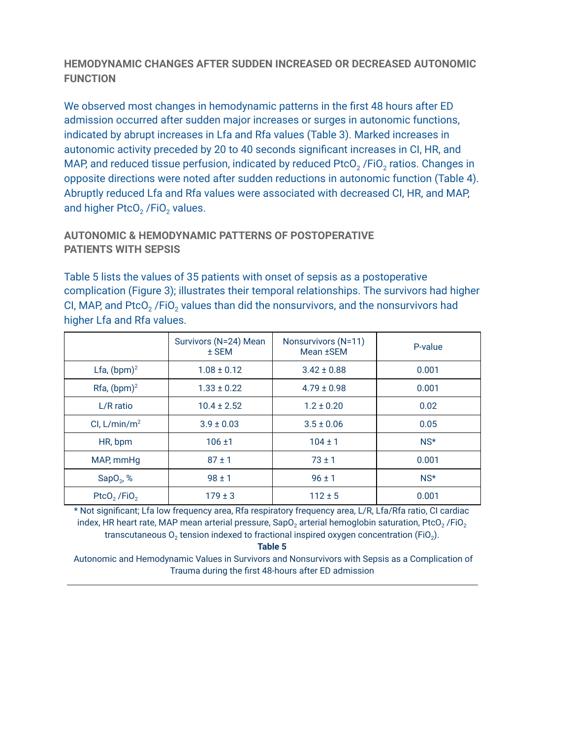## **HEMODYNAMIC CHANGES AFTER SUDDEN INCREASED OR DECREASED AUTONOMIC FUNCTION**

We observed most changes in hemodynamic patterns in the first 48 hours after ED admission occurred after sudden major increases or surges in autonomic functions, indicated by abrupt increases in Lfa and Rfa values (Table 3). Marked increases in autonomic activity preceded by 20 to 40 seconds significant increases in CI, HR, and MAP, and reduced tissue perfusion, indicated by reduced PtcO<sub>2</sub> /FiO<sub>2</sub> ratios. Changes in opposite directions were noted after sudden reductions in autonomic function (Table 4). Abruptly reduced Lfa and Rfa values were associated with decreased CI, HR, and MAP, and higher PtcO<sub>2</sub> /FiO<sub>2</sub> values.

## **AUTONOMIC & HEMODYNAMIC PATTERNS OF POSTOPERATIVE PATIENTS WITH SEPSIS**

Table 5 lists the values of 35 patients with onset of sepsis as a postoperative complication (Figure 3); illustrates their temporal relationships. The survivors had higher CI, MAP, and PtcO<sub>2</sub> /FiO<sub>2</sub> values than did the nonsurvivors, and the nonsurvivors had higher Lfa and Rfa values.

|                            | Survivors (N=24) Mean<br>$±$ SEM | Nonsurvivors (N=11)<br>Mean <b>±SEM</b> | P-value      |
|----------------------------|----------------------------------|-----------------------------------------|--------------|
| Lfa, $(bpm)^2$             | $1.08 \pm 0.12$                  | $3.42 \pm 0.88$                         | 0.001        |
| $Rfa$ , (bpm) <sup>2</sup> | $1.33 \pm 0.22$                  | $4.79 \pm 0.98$                         | 0.001        |
| $L/R$ ratio                | $10.4 \pm 2.52$                  | $1.2 \pm 0.20$                          | 0.02         |
| CI, $L/min/m2$             | $3.9 \pm 0.03$                   | $3.5 \pm 0.06$                          | 0.05         |
| HR, bpm                    | $106 + 1$                        | $104 \pm 1$                             | $NS^{\star}$ |
| MAP, mmHg                  | $87 \pm 1$                       | $73 \pm 1$                              | 0.001        |
| SapO <sub>2</sub> , $%$    | $98 \pm 1$                       | $96 \pm 1$                              | $NS^{\star}$ |
| $PtoO2$ /FiO <sub>2</sub>  | $179 \pm 3$                      | $112 \pm 5$                             | 0.001        |

\* Not significant; Lfa low frequency area, Rfa respiratory frequency area, L/R, Lfa/Rfa ratio, CI cardiac index, HR heart rate, MAP mean arterial pressure, SapO<sub>2</sub> arterial hemoglobin saturation, PtcO<sub>2</sub> /FiO<sub>2</sub> transcutaneous  $O_2$  tension indexed to fractional inspired oxygen concentration (FiO<sub>2</sub>).

**Table 5** 

Autonomic and Hemodynamic Values in Survivors and Nonsurvivors with Sepsis as a Complication of Trauma during the first 48-hours after ED admission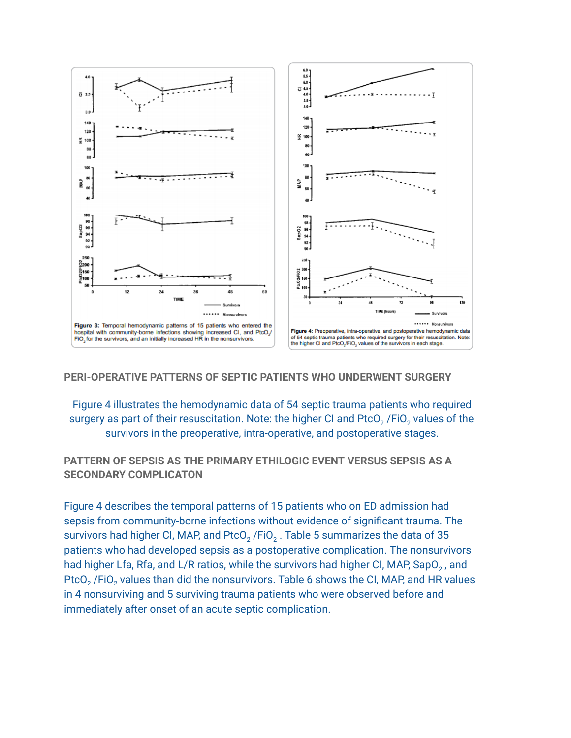

#### **PERI-OPERATIVE PATTERNS OF SEPTIC PATIENTS WHO UNDERWENT SURGERY**

Figure 4 illustrates the hemodynamic data of 54 septic trauma patients who required surgery as part of their resuscitation. Note: the higher CI and PtcO<sub>2</sub> /FiO<sub>2</sub> values of the survivors in the preoperative, intra-operative, and postoperative stages.

**PATTERN OF SEPSIS AS THE PRIMARY ETHILOGIC EVENT VERSUS SEPSIS AS A SECONDARY COMPLICATON** 

Figure 4 describes the temporal patterns of 15 patients who on ED admission had sepsis from community-borne infections without evidence of significant trauma. The survivors had higher CI, MAP, and PtcO<sub>2</sub> /FiO<sub>2</sub> . Table 5 summarizes the data of 35 patients who had developed sepsis as a postoperative complication. The nonsurvivors had higher Lfa, Rfa, and L/R ratios, while the survivors had higher CI, MAP, SapO<sub>2</sub>, and PtcO<sub>2</sub> /FiO<sub>2</sub> values than did the nonsurvivors. Table 6 shows the CI, MAP, and HR values in 4 nonsurviving and 5 surviving trauma patients who were observed before and immediately after onset of an acute septic complication.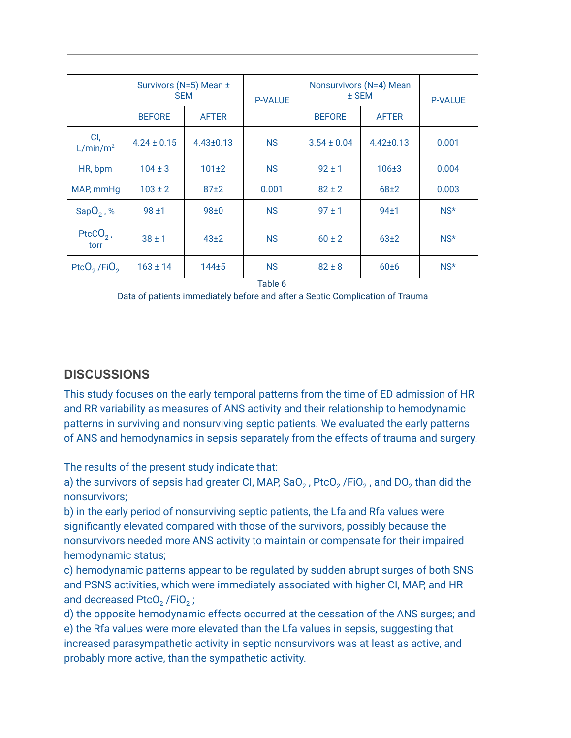|                                     | Survivors (N=5) Mean ± | <b>SEM</b>       | <b>P-VALUE</b> | Nonsurvivors (N=4) Mean<br>$±$ SEM |                  | <b>P-VALUE</b> |
|-------------------------------------|------------------------|------------------|----------------|------------------------------------|------------------|----------------|
|                                     | <b>BEFORE</b>          | <b>AFTER</b>     |                | <b>BEFORE</b>                      | <b>AFTER</b>     |                |
| CI,<br>L/min/m <sup>2</sup>         | $4.24 \pm 0.15$        | $4.43 \pm 0.13$  | <b>NS</b>      | $3.54 \pm 0.04$                    | $4.42 \pm 0.13$  | 0.001          |
| HR, bpm                             | $104 \pm 3$            | $101 + 2$        | <b>NS</b>      | $92 \pm 1$                         | $106 + 3$        | 0.004          |
| MAP, mmHq                           | $103 \pm 2$            | $87+2$           | 0.001          | $82 \pm 2$                         | 68±2             | 0.003          |
| Sap $O_2$ , %                       | $98 + 1$               | 98±0             | <b>NS</b>      | $97 \pm 1$                         | 94 <sub>±1</sub> | NS*            |
| PtcC $O2$ ,<br>torr                 | $38 \pm 1$             | 43 <sub>±2</sub> | <b>NS</b>      | $60 \pm 2$                         | 63±2             | NS*            |
| PtcO <sub>2</sub> /FiO <sub>2</sub> | $163 \pm 14$           | $144 + 5$        | <b>NS</b>      | $82 \pm 8$                         | 60±6             | $NS^{\star}$   |
| Table 6                             |                        |                  |                |                                    |                  |                |

Data of patients immediately before and after a Septic Complication of Trauma

# **DISCUSSIONS**

This study focuses on the early temporal patterns from the time of ED admission of HR and RR variability as measures of ANS activity and their relationship to hemodynamic patterns in surviving and nonsurviving septic patients. We evaluated the early patterns of ANS and hemodynamics in sepsis separately from the effects of trauma and surgery.

The results of the present study indicate that:

a) the survivors of sepsis had greater CI, MAP, SaO<sub>2</sub>, PtcO<sub>2</sub> /FiO<sub>2</sub>, and DO<sub>2</sub> than did the nonsurvivors;

b) in the early period of nonsurviving septic patients, the Lfa and Rfa values were significantly elevated compared with those of the survivors, possibly because the nonsurvivors needed more ANS activity to maintain or compensate for their impaired hemodynamic status;

c) hemodynamic patterns appear to be regulated by sudden abrupt surges of both SNS and PSNS activities, which were immediately associated with higher CI, MAP, and HR and decreased PtcO<sub>2</sub> /FiO<sub>2</sub> ;

d) the opposite hemodynamic effects occurred at the cessation of the ANS surges; and e) the Rfa values were more elevated than the Lfa values in sepsis, suggesting that increased parasympathetic activity in septic nonsurvivors was at least as active, and probably more active, than the sympathetic activity.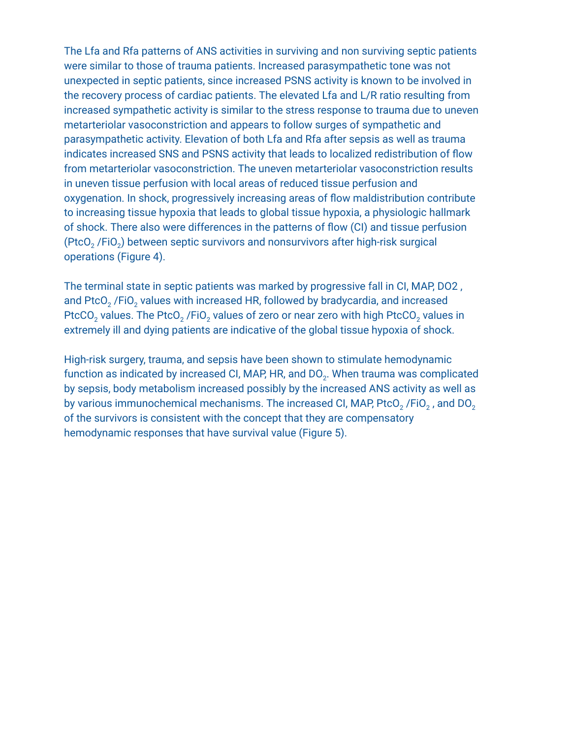The Lfa and Rfa patterns of ANS activities in surviving and non surviving septic patients were similar to those of trauma patients. Increased parasympathetic tone was not unexpected in septic patients, since increased PSNS activity is known to be involved in the recovery process of cardiac patients. The elevated Lfa and L/R ratio resulting from increased sympathetic activity is similar to the stress response to trauma due to uneven metarteriolar vasoconstriction and appears to follow surges of sympathetic and parasympathetic activity. Elevation of both Lfa and Rfa after sepsis as well as trauma indicates increased SNS and PSNS activity that leads to localized redistribution of flow from metarteriolar vasoconstriction. The uneven metarteriolar vasoconstriction results in uneven tissue perfusion with local areas of reduced tissue perfusion and oxygenation. In shock, progressively increasing areas of flow maldistribution contribute to increasing tissue hypoxia that leads to global tissue hypoxia, a physiologic hallmark of shock. There also were differences in the patterns of flow (CI) and tissue perfusion (PtcO<sub>2</sub> /FiO<sub>2</sub>) between septic survivors and nonsurvivors after high-risk surgical operations (Figure 4).

The terminal state in septic patients was marked by progressive fall in CI, MAP, DO2 , and PtcO<sub>2</sub> /FiO<sub>2</sub> values with increased HR, followed by bradycardia, and increased PtcCO<sub>2</sub> values. The PtcO<sub>2</sub> /FiO<sub>2</sub> values of zero or near zero with high PtcCO<sub>2</sub> values in extremely ill and dying patients are indicative of the global tissue hypoxia of shock.

High-risk surgery, trauma, and sepsis have been shown to stimulate hemodynamic function as indicated by increased CI, MAP, HR, and DO<sub>2</sub>. When trauma was complicated by sepsis, body metabolism increased possibly by the increased ANS activity as well as by various immunochemical mechanisms. The increased CI, MAP, PtcO<sub>2</sub> /FiO<sub>2</sub>, and DO<sub>2</sub> of the survivors is consistent with the concept that they are compensatory hemodynamic responses that have survival value (Figure 5).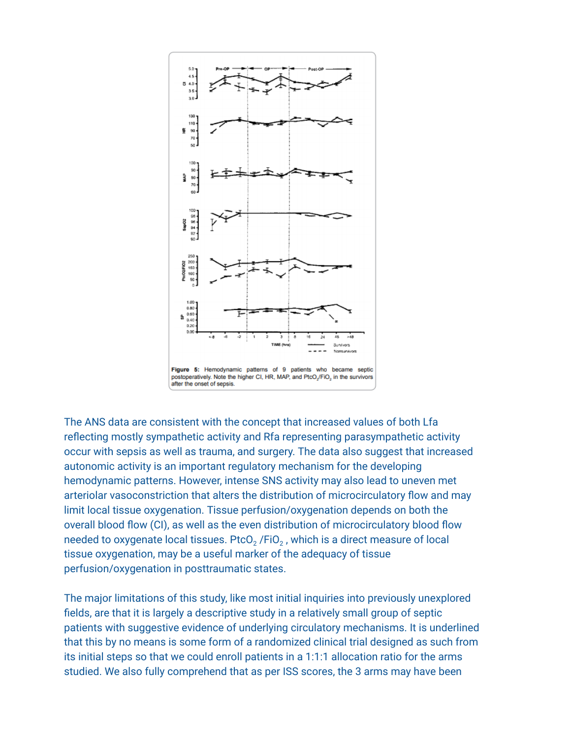

The ANS data are consistent with the concept that increased values of both Lfa reflecting mostly sympathetic activity and Rfa representing parasympathetic activity occur with sepsis as well as trauma, and surgery. The data also suggest that increased autonomic activity is an important regulatory mechanism for the developing hemodynamic patterns. However, intense SNS activity may also lead to uneven met arteriolar vasoconstriction that alters the distribution of microcirculatory flow and may limit local tissue oxygenation. Tissue perfusion/oxygenation depends on both the overall blood flow (CI), as well as the even distribution of microcirculatory blood flow needed to oxygenate local tissues. PtcO<sub>2</sub> /FiO<sub>2</sub>, which is a direct measure of local tissue oxygenation, may be a useful marker of the adequacy of tissue perfusion/oxygenation in posttraumatic states.

The major limitations of this study, like most initial inquiries into previously unexplored fields, are that it is largely a descriptive study in a relatively small group of septic patients with suggestive evidence of underlying circulatory mechanisms. It is underlined that this by no means is some form of a randomized clinical trial designed as such from its initial steps so that we could enroll patients in a 1:1:1 allocation ratio for the arms studied. We also fully comprehend that as per ISS scores, the 3 arms may have been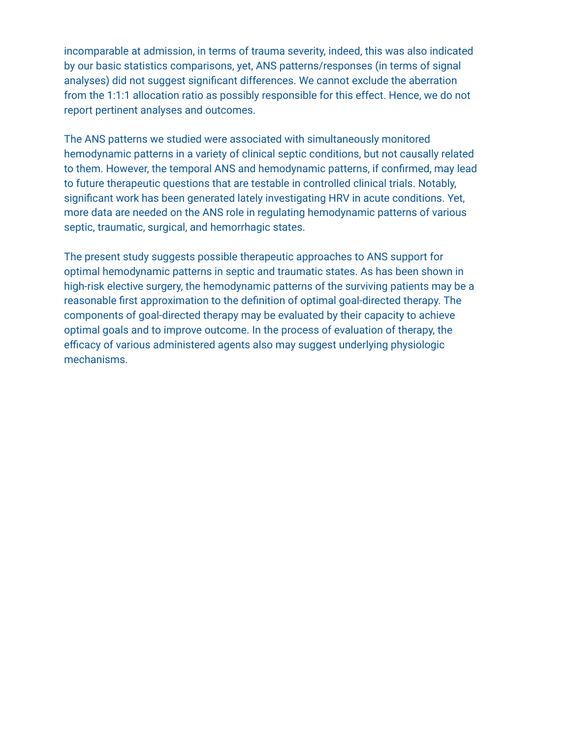incomparable at admission, in terms of trauma severity, indeed, this was also indicated by our basic statistics comparisons, yet, ANS patterns/responses (in terms of signal analyses) did not suggest significant differences. We cannot exclude the aberration from the 1:1:1 allocation ratio as possibly responsible for this effect. Hence, we do not report pertinent analyses and outcomes.

The ANS patterns we studied were associated with simultaneously monitored hemodynamic patterns in a variety of clinical septic conditions, but not causally related to them. However, the temporal ANS and hemodynamic patterns, if confirmed, may lead to future therapeutic questions that are testable in controlled clinical trials. Notably, significant work has been generated lately investigating HRV in acute conditions. Yet, more data are needed on the ANS role in regulating hemodynamic patterns of various septic, traumatic, surgical, and hemorrhagic states.

The present study suggests possible therapeutic approaches to ANS support for optimal hemodynamic patterns in septic and traumatic states. As has been shown in high-risk elective surgery, the hemodynamic patterns of the surviving patients may be a reasonable first approximation to the definition of optimal goal-directed therapy. The components of goal-directed therapy may be evaluated by their capacity to achieve optimal goals and to improve outcome. In the process of evaluation of therapy, the efficacy of various administered agents also may suggest underlying physiologic mechanisms.